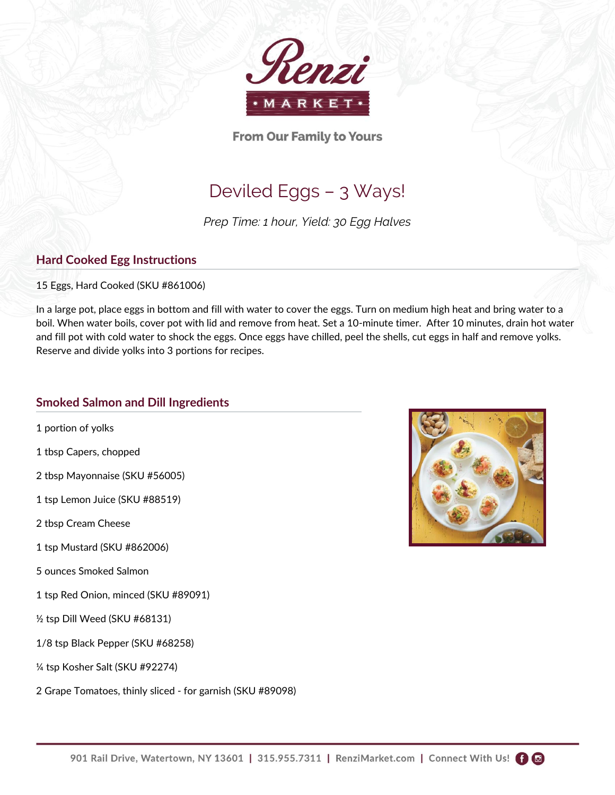

**From Our Family to Yours** 

# Deviled Eggs – 3 Ways!

*Prep Time: 1 hour, Yield: 30 Egg Halves*

## **Hard Cooked Egg Instructions**

15 Eggs, Hard Cooked (SKU #861006)

In a large pot, place eggs in bottom and fill with water to cover the eggs. Turn on medium high heat and bring water to a boil. When water boils, cover pot with lid and remove from heat. Set a 10-minute timer. After 10 minutes, drain hot water and fill pot with cold water to shock the eggs. Once eggs have chilled, peel the shells, cut eggs in half and remove yolks. Reserve and divide yolks into 3 portions for recipes.

### **Smoked Salmon and Dill Ingredients**

- 1 portion of yolks
- 1 tbsp Capers, chopped
- 2 tbsp Mayonnaise (SKU #56005)
- 1 tsp Lemon Juice (SKU #88519)
- 2 tbsp Cream Cheese
- 1 tsp Mustard (SKU #862006)
- 5 ounces Smoked Salmon
- 1 tsp Red Onion, minced (SKU #89091)
- ½ tsp Dill Weed (SKU #68131)
- 1/8 tsp Black Pepper (SKU #68258)
- ¼ tsp Kosher Salt (SKU #92274)
- 2 Grape Tomatoes, thinly sliced for garnish (SKU #89098)



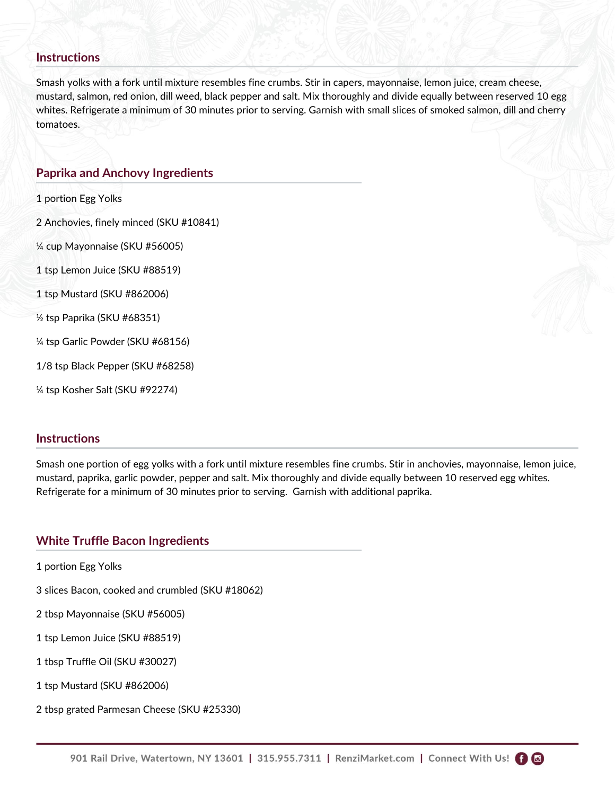#### **Instructions**

Smash yolks with a fork until mixture resembles fine crumbs. Stir in capers, mayonnaise, lemon juice, cream cheese, mustard, salmon, red onion, dill weed, black pepper and salt. Mix thoroughly and divide equally between reserved 10 egg whites. Refrigerate a minimum of 30 minutes prior to serving. Garnish with small slices of smoked salmon, dill and cherry tomatoes.

#### **Paprika and Anchovy Ingredients**

1 portion Egg Yolks

2 Anchovies, finely minced (SKU #10841)

¼ cup Mayonnaise (SKU #56005)

1 tsp Lemon Juice (SKU #88519)

1 tsp Mustard (SKU #862006)

½ tsp Paprika (SKU #68351)

¼ tsp Garlic Powder (SKU #68156)

1/8 tsp Black Pepper (SKU #68258)

¼ tsp Kosher Salt (SKU #92274)

#### **Instructions**

Smash one portion of egg yolks with a fork until mixture resembles fine crumbs. Stir in anchovies, mayonnaise, lemon juice, mustard, paprika, garlic powder, pepper and salt. Mix thoroughly and divide equally between 10 reserved egg whites. Refrigerate for a minimum of 30 minutes prior to serving. Garnish with additional paprika.

#### **White Truffle Bacon Ingredients**

1 portion Egg Yolks

3 slices Bacon, cooked and crumbled (SKU #18062)

2 tbsp Mayonnaise (SKU #56005)

1 tsp Lemon Juice (SKU #88519)

1 tbsp Truffle Oil (SKU #30027)

1 tsp Mustard (SKU #862006)

2 tbsp grated Parmesan Cheese (SKU #25330)